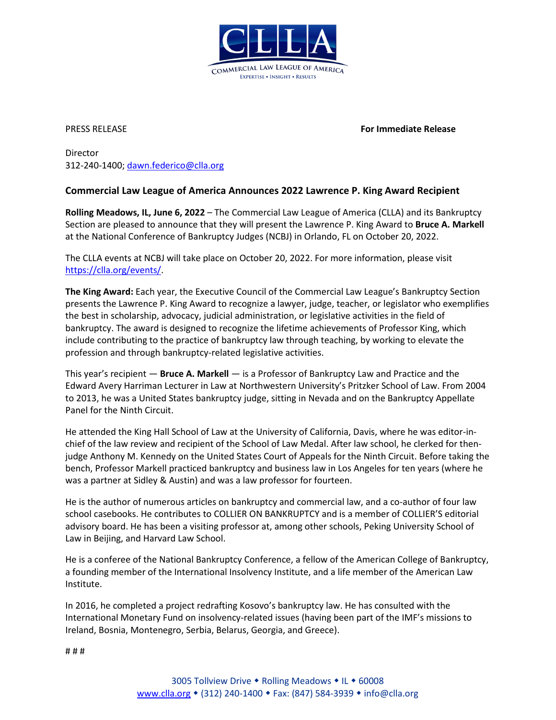

PRESS RELEASE **For Immediate Release**

Director 312-240-1400; [dawn.federico@clla.org](mailto:dawn.federico@clla.org)

## **Commercial Law League of America Announces 2022 Lawrence P. King Award Recipient**

**Rolling Meadows, IL, June 6, 2022** – The Commercial Law League of America (CLLA) and its Bankruptcy Section are pleased to announce that they will present the Lawrence P. King Award to **Bruce A. Markell**  at the National Conference of Bankruptcy Judges (NCBJ) in Orlando, FL on October 20, 2022.

The CLLA events at NCBJ will take place on October 20, 2022. For more information, please visit [https://clla.org/events/.](https://clla.org/events/)

**The King Award:** Each year, the Executive Council of the Commercial Law League's Bankruptcy Section presents the Lawrence P. King Award to recognize a lawyer, judge, teacher, or legislator who exemplifies the best in scholarship, advocacy, judicial administration, or legislative activities in the field of bankruptcy. The award is designed to recognize the lifetime achievements of Professor King, which include contributing to the practice of bankruptcy law through teaching, by working to elevate the profession and through bankruptcy-related legislative activities.

This year's recipient — **Bruce A. Markell** — is a Professor of Bankruptcy Law and Practice and the Edward Avery Harriman Lecturer in Law at Northwestern University's Pritzker School of Law. From 2004 to 2013, he was a United States bankruptcy judge, sitting in Nevada and on the Bankruptcy Appellate Panel for the Ninth Circuit.

He attended the King Hall School of Law at the University of California, Davis, where he was editor-inchief of the law review and recipient of the School of Law Medal. After law school, he clerked for thenjudge Anthony M. Kennedy on the United States Court of Appeals for the Ninth Circuit. Before taking the bench, Professor Markell practiced bankruptcy and business law in Los Angeles for ten years (where he was a partner at Sidley & Austin) and was a law professor for fourteen.

He is the author of numerous articles on bankruptcy and commercial law, and a co-author of four law school casebooks. He contributes to COLLIER ON BANKRUPTCY and is a member of COLLIER'S editorial advisory board. He has been a visiting professor at, among other schools, Peking University School of Law in Beijing, and Harvard Law School.

He is a conferee of the National Bankruptcy Conference, a fellow of the American College of Bankruptcy, a founding member of the International Insolvency Institute, and a life member of the American Law Institute.

In 2016, he completed a project redrafting Kosovo's bankruptcy law. He has consulted with the International Monetary Fund on insolvency-related issues (having been part of the IMF's missions to Ireland, Bosnia, Montenegro, Serbia, Belarus, Georgia, and Greece).

# # #